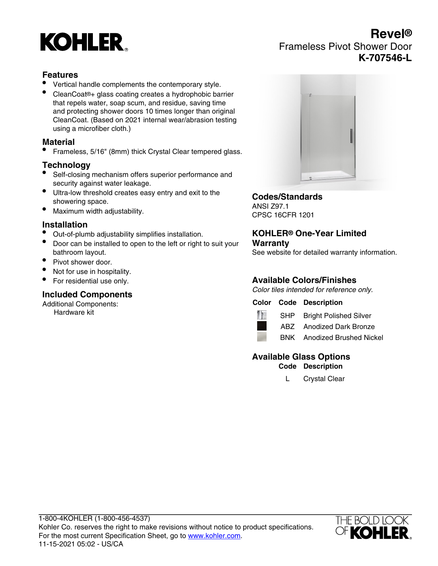# **KOHLER**

# **Revel®** Frameless Pivot Shower Door **K-707546-L**

# **Features**

- Vertical handle complements the contemporary style.
- CleanCoat®+ glass coating creates a hydrophobic barrier that repels water, soap scum, and residue, saving time and protecting shower doors 10 times longer than original CleanCoat. (Based on 2021 internal wear/abrasion testing using a microfiber cloth.)

#### **Material**

• Frameless, 5/16" (8mm) thick Crystal Clear tempered glass.

# **Technology**

- Self-closing mechanism offers superior performance and security against water leakage.
- Ultra-low threshold creates easy entry and exit to the showering space.
- Maximum width adjustability.

# **Installation**

- Out-of-plumb adjustability simplifies installation.
- Door can be installed to open to the left or right to suit your bathroom layout.
- Pivot shower door.
- Not for use in hospitality.
- For residential use only.

# **Included Components**

Additional Components: Hardware kit



# **Codes/Standards**

ANSI Z97.1 CPSC 16CFR 1201

#### **KOHLER® One-Year Limited Warranty**

See website for detailed warranty information.

# **Available Colors/Finishes**

Color tiles intended for reference only.

#### **Color Code Description**



SHP Bright Polished Silver ABZ Anodized Dark Bronze



BNK Anodized Brushed Nickel

# **Available Glass Options**

**Code Description**

L Crystal Clear